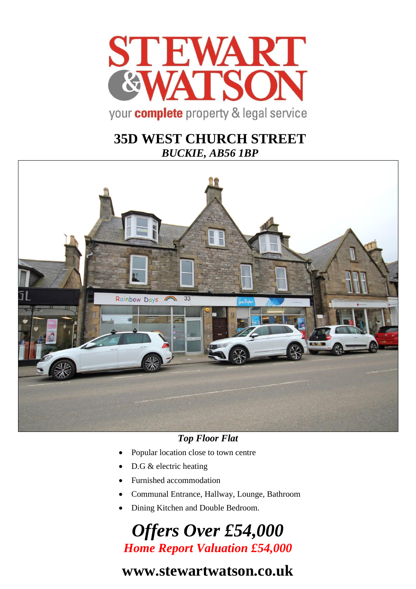

## **35D WEST CHURCH STREET** *BUCKIE, AB56 1BP*



### *Top Floor Flat*

- Popular location close to town centre
- D.G & electric heating
- Furnished accommodation
- Communal Entrance, Hallway, Lounge, Bathroom
- Dining Kitchen and Double Bedroom.

# *Offers Over £54,000 Home Report Valuation £54,000*

# **www.stewartwatson.co.uk**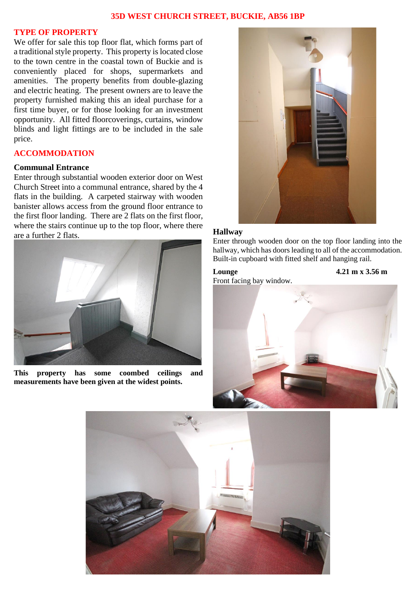#### **35D WEST CHURCH STREET, BUCKIE, AB56 1BP**

#### **TYPE OF PROPERTY**

We offer for sale this top floor flat, which forms part of a traditional style property. This property is located close to the town centre in the coastal town of Buckie and is conveniently placed for shops, supermarkets and amenities. The property benefits from double-glazing and electric heating. The present owners are to leave the property furnished making this an ideal purchase for a first time buyer, or for those looking for an investment opportunity. All fitted floorcoverings, curtains, window blinds and light fittings are to be included in the sale price.

#### **ACCOMMODATION**

#### **Communal Entrance**

Enter through substantial wooden exterior door on West Church Street into a communal entrance, shared by the 4 flats in the building. A carpeted stairway with wooden banister allows access from the ground floor entrance to the first floor landing. There are 2 flats on the first floor, where the stairs continue up to the top floor, where there are a further 2 flats.



**This property has some coombed ceilings and measurements have been given at the widest points.** 



#### **Hallway**

Enter through wooden door on the top floor landing into the hallway, which has doors leading to all of the accommodation. Built-in cupboard with fitted shelf and hanging rail.

#### **Lounge 4.21 m x 3.56 m**

Front facing bay window.



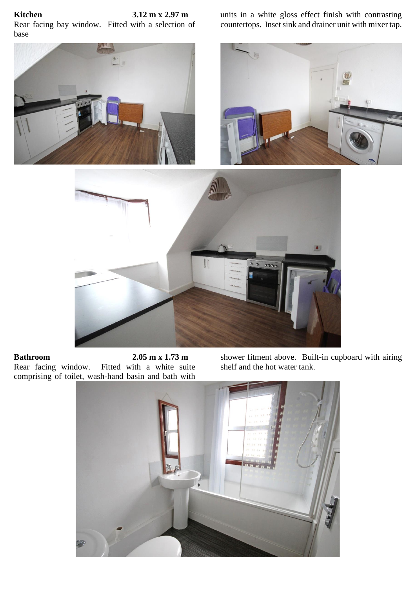### **Kitchen 3.12 m x 2.97 m**

Rear facing bay window. Fitted with a selection of base

units in a white gloss effect finish with contrasting countertops. Inset sink and drainer unit with mixer tap.



**Bathroom 2.05 m x 1.73 m**<br>Rear facing window. Fitted with a white sui Fitted with a white suite comprising of toilet, wash-hand basin and bath with shower fitment above. Built-in cupboard with airing shelf and the hot water tank.